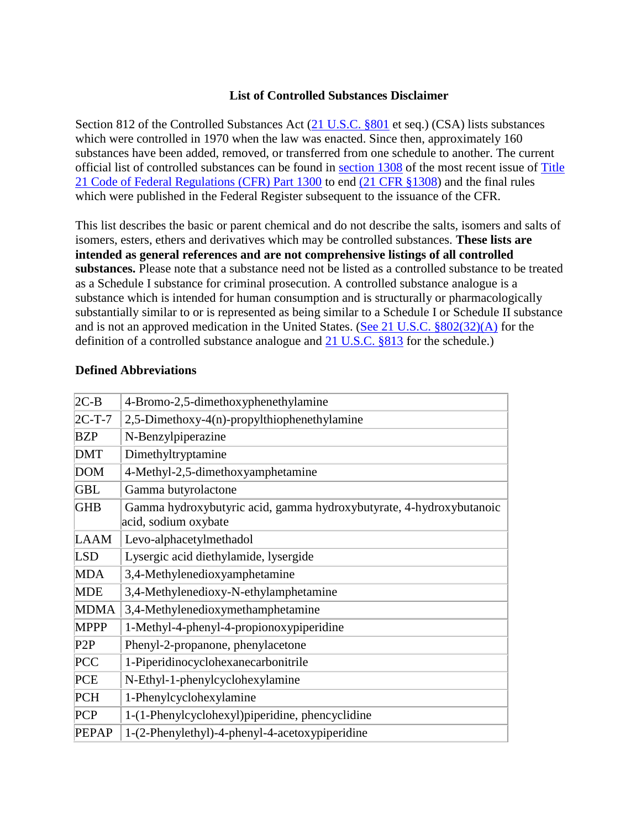### **List of Controlled Substances Disclaimer**

Section 812 of the Controlled Substances Act [\(21 U.S.C. §801](http://www.deadiversion.usdoj.gov/21cfr/21usc/801.htm) et seq.) (CSA) lists substances which were controlled in 1970 when the law was enacted. Since then, approximately 160 substances have been added, removed, or transferred from one schedule to another. The current official list of controlled substances can be found in [section 1308](http://www.deadiversion.usdoj.gov/21cfr/cfr/2108cfrt.htm) of the most recent issue of [Title](http://www.deadiversion.usdoj.gov/21cfr/cfr/2100cfrt.htm)  [21 Code of Federal Regulations \(CFR\) Part 1300](http://www.deadiversion.usdoj.gov/21cfr/cfr/2100cfrt.htm) to end [\(21 CFR §1308\)](http://www.deadiversion.usdoj.gov/21cfr/cfr/2108cfrt.htm) and the final rules which were published in the Federal Register subsequent to the issuance of the CFR.

This list describes the basic or parent chemical and do not describe the salts, isomers and salts of isomers, esters, ethers and derivatives which may be controlled substances. **These lists are intended as general references and are not comprehensive listings of all controlled substances.** Please note that a substance need not be listed as a controlled substance to be treated as a Schedule I substance for criminal prosecution. A controlled substance analogue is a substance which is intended for human consumption and is structurally or pharmacologically substantially similar to or is represented as being similar to a Schedule I or Schedule II substance and is not an approved medication in the United States. [\(See 21 U.S.C. §802\(32\)\(A\)](http://www.deadiversion.usdoj.gov/21cfr/21usc/802.htm) for the definition of a controlled substance analogue and [21 U.S.C. §813](http://www.deadiversion.usdoj.gov/21cfr/21usc/813.htm) for the schedule.)

| 4-Bromo-2,5-dimethoxyphenethylamine                                                         |
|---------------------------------------------------------------------------------------------|
| 2,5-Dimethoxy-4(n)-propylthiophenethylamine                                                 |
| N-Benzylpiperazine                                                                          |
| Dimethyltryptamine                                                                          |
| 4-Methyl-2,5-dimethoxyamphetamine                                                           |
| Gamma butyrolactone                                                                         |
| Gamma hydroxybutyric acid, gamma hydroxybutyrate, 4-hydroxybutanoic<br>acid, sodium oxybate |
| Levo-alphacetylmethadol                                                                     |
| Lysergic acid diethylamide, lysergide                                                       |
| 3,4-Methylenedioxyamphetamine                                                               |
| 3,4-Methylenedioxy-N-ethylamphetamine                                                       |
| 3,4-Methylenedioxymethamphetamine                                                           |
| 1-Methyl-4-phenyl-4-propionoxypiperidine                                                    |
| Phenyl-2-propanone, phenylacetone                                                           |
| 1-Piperidinocyclohexanecarbonitrile                                                         |
| N-Ethyl-1-phenylcyclohexylamine                                                             |
| 1-Phenylcyclohexylamine                                                                     |
| 1-(1-Phenylcyclohexyl) piperidine, phencyclidine                                            |
| 1-(2-Phenylethyl)-4-phenyl-4-acetoxypiperidine                                              |
|                                                                                             |

#### **Defined Abbreviations**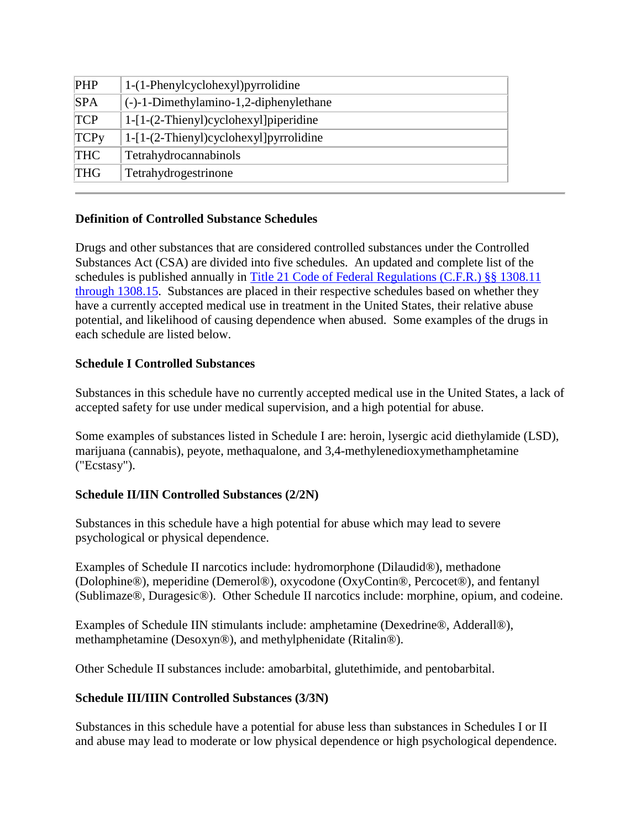| <b>PHP</b>  | 1-(1-Phenylcyclohexyl) pyrrolidine        |
|-------------|-------------------------------------------|
| <b>SPA</b>  | $(-)$ -1-Dimethylamino-1,2-diphenylethane |
| <b>TCP</b>  | $1-[1-(2-Thienyl)cyclohexyl]$ piperidine  |
| <b>TCPy</b> | $1-[1-(2-Thienyl)cyclohexyl] pyrrolidine$ |
| <b>THC</b>  | Tetrahydrocannabinols                     |
| <b>THG</b>  | Tetrahydrogestrinone                      |

# **Definition of Controlled Substance Schedules**

Drugs and other substances that are considered controlled substances under the Controlled Substances Act (CSA) are divided into five schedules. An updated and complete list of the schedules is published annually in [Title 21 Code of Federal Regulations \(C.F.R.\) §§ 1308.11](http://www.deadiversion.usdoj.gov/21cfr/cfr/2108cfrt.htm)  [through 1308.15.](http://www.deadiversion.usdoj.gov/21cfr/cfr/2108cfrt.htm) Substances are placed in their respective schedules based on whether they have a currently accepted medical use in treatment in the United States, their relative abuse potential, and likelihood of causing dependence when abused. Some examples of the drugs in each schedule are listed below.

# **Schedule I Controlled Substances**

Substances in this schedule have no currently accepted medical use in the United States, a lack of accepted safety for use under medical supervision, and a high potential for abuse.

Some examples of substances listed in Schedule I are: heroin, lysergic acid diethylamide (LSD), marijuana (cannabis), peyote, methaqualone, and 3,4-methylenedioxymethamphetamine ("Ecstasy").

# **Schedule II/IIN Controlled Substances (2/2N)**

Substances in this schedule have a high potential for abuse which may lead to severe psychological or physical dependence.

Examples of Schedule II narcotics include: hydromorphone (Dilaudid®), methadone (Dolophine®), meperidine (Demerol®), oxycodone (OxyContin®, Percocet®), and fentanyl (Sublimaze®, Duragesic®). Other Schedule II narcotics include: morphine, opium, and codeine.

Examples of Schedule IIN stimulants include: amphetamine (Dexedrine®, Adderall®), methamphetamine (Desoxyn®), and methylphenidate (Ritalin®).

Other Schedule II substances include: amobarbital, glutethimide, and pentobarbital.

# **Schedule III/IIIN Controlled Substances (3/3N)**

Substances in this schedule have a potential for abuse less than substances in Schedules I or II and abuse may lead to moderate or low physical dependence or high psychological dependence.